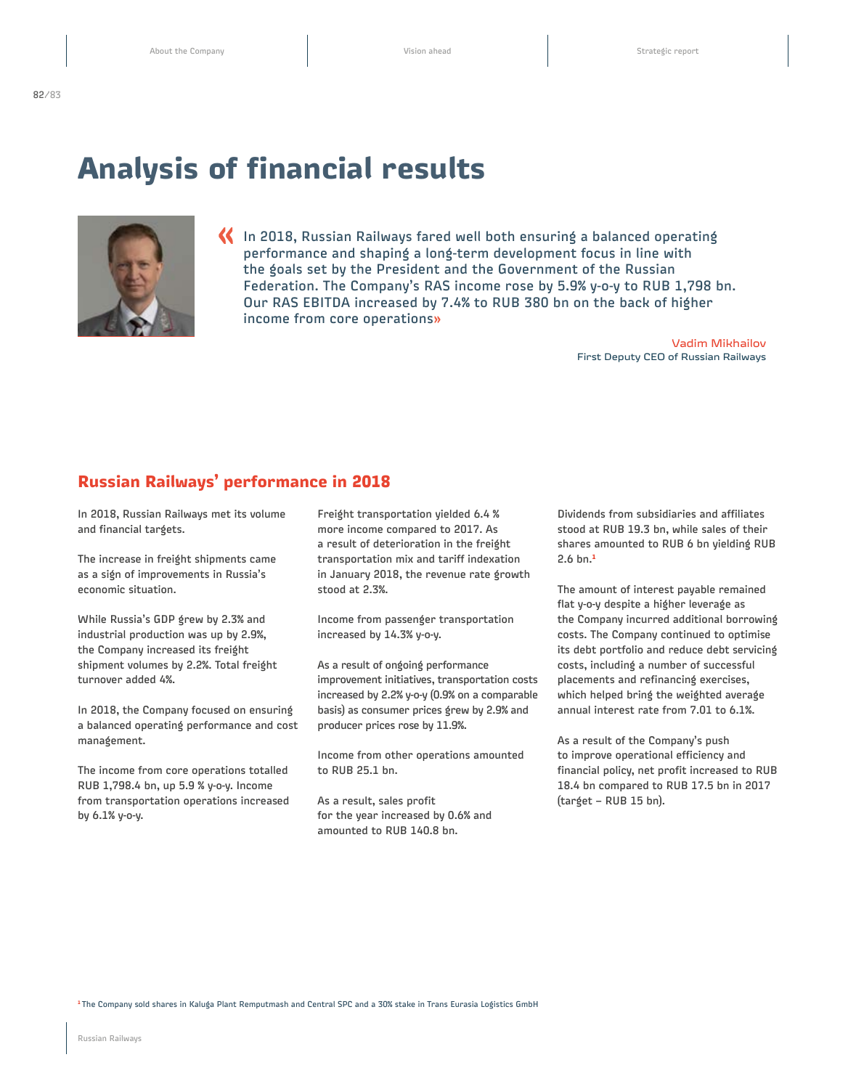## **Analysis of financial results**



**«** In 2018, Russian Railways fared well both ensuring a balanced operating performance and shaping a long-term development focus in line with the goals set by the President and the Government of the Russian Federation. The Company's RAS income rose by 5.9% y-o-y to RUB 1,798 bn. Our RAS EBITDA increased by 7.4% to RUB 380 bn on the back of higher income from core operations**»**

> Vadim Mikhailov First Deputy CEO of Russian Railways

## **Russian Railways' performance in 2018**

In 2018, Russian Railways met its volume and financial targets.

The increase in freight shipments came as a sign of improvements in Russia's economic situation.

While Russia's GDP grew by 2.3% and industrial production was up by 2.9%, the Company increased its freight shipment volumes by 2.2%. Total freight turnover added 4%.

In 2018, the Company focused on ensuring a balanced operating performance and cost management.

The income from core operations totalled RUB 1,798.4 bn, up 5.9 % y-o-y. Income from transportation operations increased by 6.1% y-o-y.

Freight transportation yielded 6.4 % more income compared to 2017. As a result of deterioration in the freight transportation mix and tariff indexation in January 2018, the revenue rate growth stood at 2.3%.

Income from passenger transportation increased by 14.3% y-o-y.

As a result of ongoing performance improvement initiatives, transportation costs increased by 2.2% y-o-y (0.9% on a comparable basis) as consumer prices grew by 2.9% and producer prices rose by 11.9%.

Income from other operations amounted to RUB 25.1 bn.

As a result, sales profit for the year increased by 0.6% and amounted to RUB 140.8 bn.

Dividends from subsidiaries and affiliates stood at RUB 19.3 bn, while sales of their shares amounted to RUB 6 bn yielding RUB 2.6 bn.**<sup>1</sup>**

The amount of interest payable remained flat y-o-y despite a higher leverage as the Company incurred additional borrowing costs. The Company continued to optimise its debt portfolio and reduce debt servicing costs, including a number of successful placements and refinancing exercises, which helped bring the weighted average annual interest rate from 7.01 to 6.1%.

As a result of the Company's push to improve operational efficiency and financial policy, net profit increased to RUB 18.4 bn compared to RUB 17.5 bn in 2017 (target – RUB 15 bn).

**<sup>1</sup>**The Company sold shares in Kaluga Plant Remputmash and Central SPC and a 30% stake in Trans Eurasia Logistics GmbH